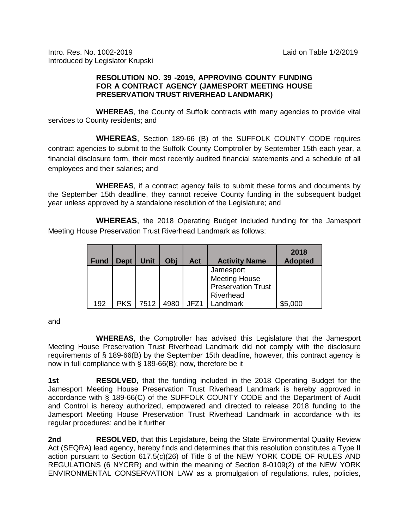Intro. Res. No. 1002-2019 Laid on Table 1/2/2019 Introduced by Legislator Krupski

## **RESOLUTION NO. 39 -2019, APPROVING COUNTY FUNDING FOR A CONTRACT AGENCY (JAMESPORT MEETING HOUSE PRESERVATION TRUST RIVERHEAD LANDMARK)**

**WHEREAS**, the County of Suffolk contracts with many agencies to provide vital services to County residents; and

**WHEREAS**, Section 189-66 (B) of the SUFFOLK COUNTY CODE requires contract agencies to submit to the Suffolk County Comptroller by September 15th each year, a financial disclosure form, their most recently audited financial statements and a schedule of all employees and their salaries; and

**WHEREAS**, if a contract agency fails to submit these forms and documents by the September 15th deadline, they cannot receive County funding in the subsequent budget year unless approved by a standalone resolution of the Legislature; and

**WHEREAS**, the 2018 Operating Budget included funding for the Jamesport Meeting House Preservation Trust Riverhead Landmark as follows:

| <b>Fund</b> | <b>Dept</b> | Unit | Obi  | Act  | <b>Activity Name</b>                                           | 2018<br><b>Adopted</b> |
|-------------|-------------|------|------|------|----------------------------------------------------------------|------------------------|
|             |             |      |      |      | Jamesport<br><b>Meeting House</b><br><b>Preservation Trust</b> |                        |
| 192         | <b>PKS</b>  | 7512 | 4980 | JFZ1 | Riverhead<br>Landmark                                          | \$5,000                |

and

**WHEREAS**, the Comptroller has advised this Legislature that the Jamesport Meeting House Preservation Trust Riverhead Landmark did not comply with the disclosure requirements of § 189-66(B) by the September 15th deadline, however, this contract agency is now in full compliance with § 189-66(B); now, therefore be it

**1st RESOLVED**, that the funding included in the 2018 Operating Budget for the Jamesport Meeting House Preservation Trust Riverhead Landmark is hereby approved in accordance with § 189-66(C) of the SUFFOLK COUNTY CODE and the Department of Audit and Control is hereby authorized, empowered and directed to release 2018 funding to the Jamesport Meeting House Preservation Trust Riverhead Landmark in accordance with its regular procedures; and be it further

**2nd RESOLVED**, that this Legislature, being the State Environmental Quality Review Act (SEQRA) lead agency, hereby finds and determines that this resolution constitutes a Type II action pursuant to Section 617.5(c)(26) of Title 6 of the NEW YORK CODE OF RULES AND REGULATIONS (6 NYCRR) and within the meaning of Section 8-0109(2) of the NEW YORK ENVIRONMENTAL CONSERVATION LAW as a promulgation of regulations, rules, policies,